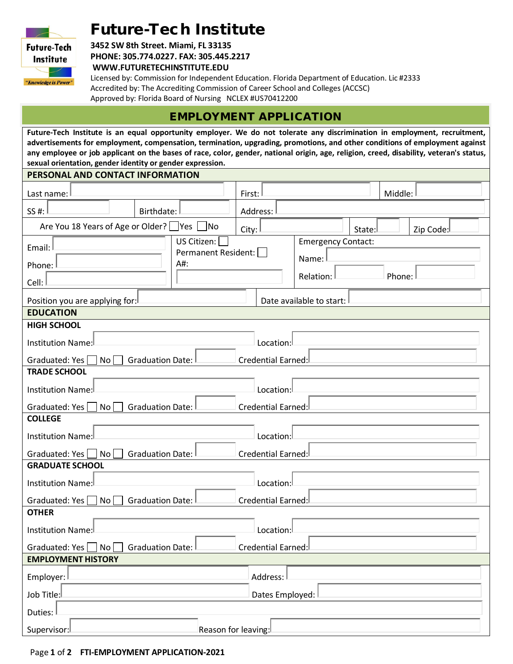# Future-Tech Institute



**3452 SW 8th Street. Miami, FL 33135 PHONE: 305.774.0227. FAX: 305.445.2217**

**WWW.FUTURETECHINSTITUTE.EDU**

Licensed by: Commission for Independent Education. Florida Department of Education. Lic #2333 Accredited by: The Accrediting Commission of Career School and Colleges (ACCSC) Approved by: Florida Board of Nursing NCLEX #US70412200

## EMPLOYMENT APPLICATION

**Future-Tech Institute is an equal opportunity employer. We do not tolerate any discrimination in employment, recruitment, advertisements for employment, compensation, termination, upgrading, promotions, and other conditions of employment against any employee or job applicant on the bases of race, color, gender, national origin, age, religion, creed, disability, veteran's status, sexual orientation, gender identity or gender expression.**

#### **PERSONAL AND CONTACT INFORMATION**

| Last name:                                                                  | Middle:<br>First:                                         |  |  |  |  |  |  |  |
|-----------------------------------------------------------------------------|-----------------------------------------------------------|--|--|--|--|--|--|--|
| SS #:<br>Birthdate:                                                         | Address:                                                  |  |  |  |  |  |  |  |
| Are You 18 Years of Age or Older? Yes [<br> No                              | City:<br>Zip Code:<br>State:                              |  |  |  |  |  |  |  |
| US Citizen:<br>Email:<br>Permanent Resident:<br>A#:<br>Phone:<br>Cell:      | <b>Emergency Contact:</b><br>Name:<br>Relation:<br>Phone: |  |  |  |  |  |  |  |
| Position you are applying for:                                              | Date available to start:                                  |  |  |  |  |  |  |  |
| <b>EDUCATION</b>                                                            |                                                           |  |  |  |  |  |  |  |
| <b>HIGH SCHOOL</b>                                                          |                                                           |  |  |  |  |  |  |  |
| Institution Name:                                                           | Location:                                                 |  |  |  |  |  |  |  |
| Graduated: Yes<br>No I<br><b>Graduation Date:</b><br>Credential Earned:     |                                                           |  |  |  |  |  |  |  |
| <b>TRADE SCHOOL</b>                                                         |                                                           |  |  |  |  |  |  |  |
| <b>Institution Name:</b>                                                    | Location:                                                 |  |  |  |  |  |  |  |
| No <sub>1</sub><br>Graduated: Yes<br><b>Graduation Date:</b>                | Credential Earned:                                        |  |  |  |  |  |  |  |
| <b>COLLEGE</b>                                                              |                                                           |  |  |  |  |  |  |  |
| Institution Name:                                                           | Location:                                                 |  |  |  |  |  |  |  |
| <b>Graduation Date:</b><br>Graduated: Yes  <br>$\vert$ No $\vert$           | Credential Earned:                                        |  |  |  |  |  |  |  |
| <b>GRADUATE SCHOOL</b>                                                      |                                                           |  |  |  |  |  |  |  |
| Institution Name:                                                           | Location:                                                 |  |  |  |  |  |  |  |
| Credential Earned:<br><b>Graduation Date:</b><br>Graduated: Yes  <br>$ $ No |                                                           |  |  |  |  |  |  |  |
| <b>OTHER</b>                                                                |                                                           |  |  |  |  |  |  |  |
| <b>Institution Name:</b>                                                    | Location:                                                 |  |  |  |  |  |  |  |
| Graduated: Yes     No  <br><b>Graduation Date:</b>                          | Credential Earned:                                        |  |  |  |  |  |  |  |
| <b>EMPLOYMENT HISTORY</b>                                                   |                                                           |  |  |  |  |  |  |  |
| Employer:                                                                   | Address:                                                  |  |  |  |  |  |  |  |
| Job Title:                                                                  | Dates Employed:                                           |  |  |  |  |  |  |  |
| Duties:                                                                     |                                                           |  |  |  |  |  |  |  |
| Reason for leaving:<br>Supervisor:                                          |                                                           |  |  |  |  |  |  |  |
|                                                                             |                                                           |  |  |  |  |  |  |  |

#### Page **1** of **2 FTI-EMPLOYMENT APPLICATION-2021**